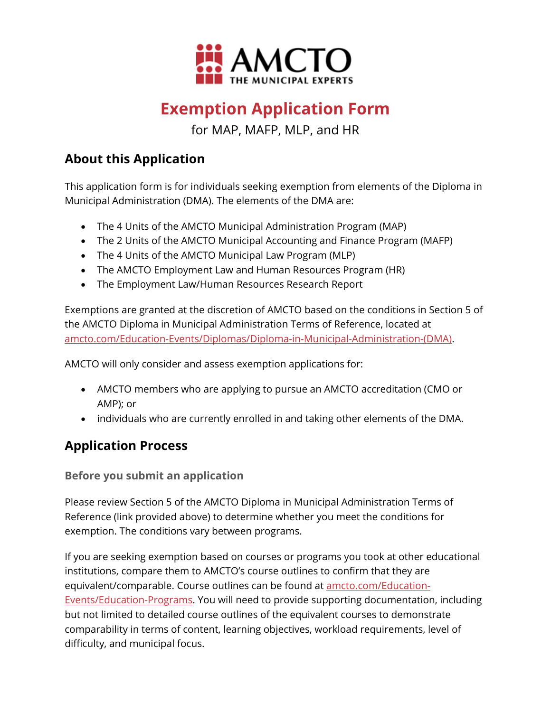

# **Exemption Application Form**

for MAP, MAFP, MLP, and HR

# **About this Application**

This application form is for individuals seeking exemption from elements of the Diploma in Municipal Administration (DMA). The elements of the DMA are:

- The 4 Units of the AMCTO Municipal Administration Program (MAP)
- The 2 Units of the AMCTO Municipal Accounting and Finance Program (MAFP)
- The 4 Units of the AMCTO Municipal Law Program (MLP)
- The AMCTO Employment Law and Human Resources Program (HR)
- The Employment Law/Human Resources Research Report

Exemptions are granted at the discretion of AMCTO based on the conditions in Section 5 of the AMCTO Diploma in Municipal Administration Terms of Reference, located at [amcto.com/Education-Events/Diplomas/Diploma-in-Municipal-Administration-\(DMA\).](https://www.amcto.com/Education-Events/Diplomas/Diploma-in-Municipal-Administration-(DMA))

AMCTO will only consider and assess exemption applications for:

- AMCTO members who are applying to pursue an AMCTO accreditation (CMO or AMP); or
- individuals who are currently enrolled in and taking other elements of the DMA.

# **Application Process**

#### **Before you submit an application**

Please review Section 5 of the AMCTO Diploma in Municipal Administration Terms of Reference (link provided above) to determine whether you meet the conditions for exemption. The conditions vary between programs.

If you are seeking exemption based on courses or programs you took at other educational institutions, compare them to AMCTO's course outlines to confirm that they are equivalent/comparable. Course outlines can be found at [amcto.com/Education-](https://www.amcto.com/Education-Events/Education-Programs)[Events/Education-Programs.](https://www.amcto.com/Education-Events/Education-Programs) You will need to provide supporting documentation, including but not limited to detailed course outlines of the equivalent courses to demonstrate comparability in terms of content, learning objectives, workload requirements, level of difficulty, and municipal focus.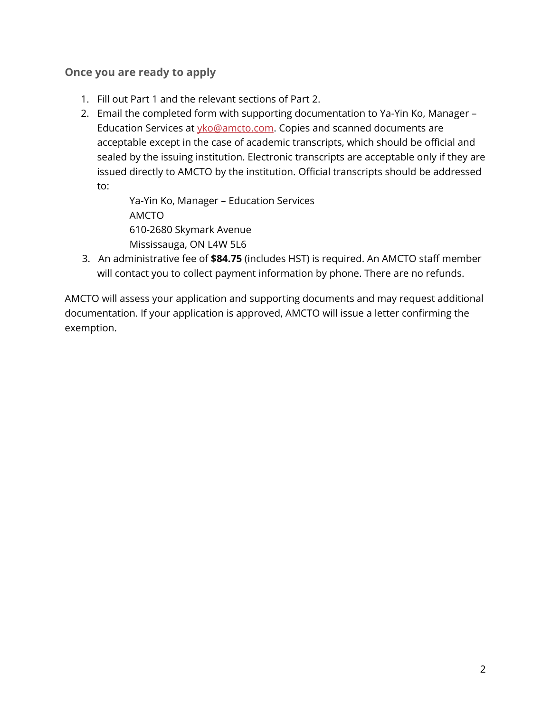#### **Once you are ready to apply**

- 1. Fill out Part 1 and the relevant sections of Part 2.
- 2. Email the completed form with supporting documentation to Ya-Yin Ko, Manager Education Services at *yko@amcto.com*. Copies and scanned documents are acceptable except in the case of academic transcripts, which should be official and sealed by the issuing institution. Electronic transcripts are acceptable only if they are issued directly to AMCTO by the institution. Official transcripts should be addressed to:

Ya-Yin Ko, Manager – Education Services AMCTO 610-2680 Skymark Avenue Mississauga, ON L4W 5L6

3. An administrative fee of **\$84.75** (includes HST) is required. An AMCTO staff member will contact you to collect payment information by phone. There are no refunds.

AMCTO will assess your application and supporting documents and may request additional documentation. If your application is approved, AMCTO will issue a letter confirming the exemption.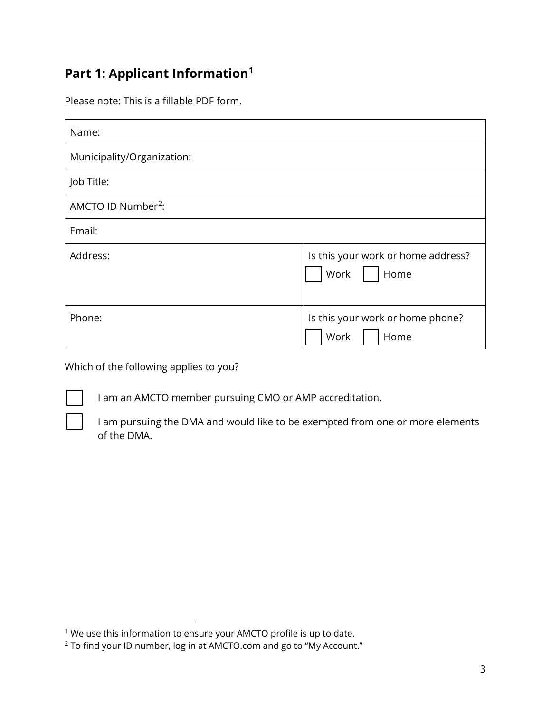# **Part 1: Applicant Information[1](#page-2-0)**

Please note: This is a fillable PDF form.

| Name:                          |                                                    |
|--------------------------------|----------------------------------------------------|
| Municipality/Organization:     |                                                    |
| Job Title:                     |                                                    |
| AMCTO ID Number <sup>2</sup> : |                                                    |
| Email:                         |                                                    |
| Address:                       | Is this your work or home address?<br>Work<br>Home |
| Phone:                         | Is this your work or home phone?<br>Work<br>Home   |

Which of the following applies to you?

I am an AMCTO member pursuing CMO or AMP accreditation.

I am pursuing the DMA and would like to be exempted from one or more elements of the DMA.

<span id="page-2-0"></span><sup>&</sup>lt;sup>1</sup> We use this information to ensure your AMCTO profile is up to date.

<span id="page-2-1"></span><sup>&</sup>lt;sup>2</sup> To find your ID number, log in at AMCTO.com and go to "My Account."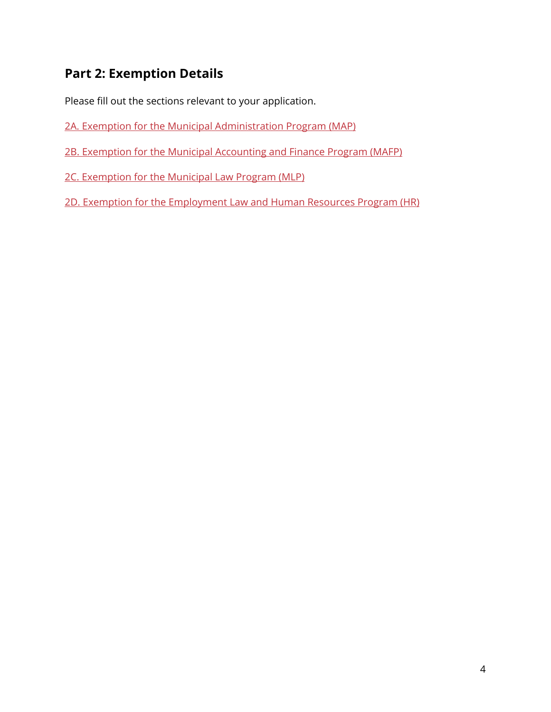# **Part 2: Exemption Details**

Please fill out the sections relevant to your application.

- [2A. Exemption for the Municipal Administration Program \(MAP\)](#page-3-0)
- [2B. Exemption for the Municipal Accounting and Finance Program \(MAFP\)](#page-5-0)
- [2C. Exemption for the Municipal Law Program \(MLP\)](#page-5-1)
- <span id="page-3-0"></span>[2D. Exemption for the Employment Law and Human Resources Program \(HR\)](#page-6-0)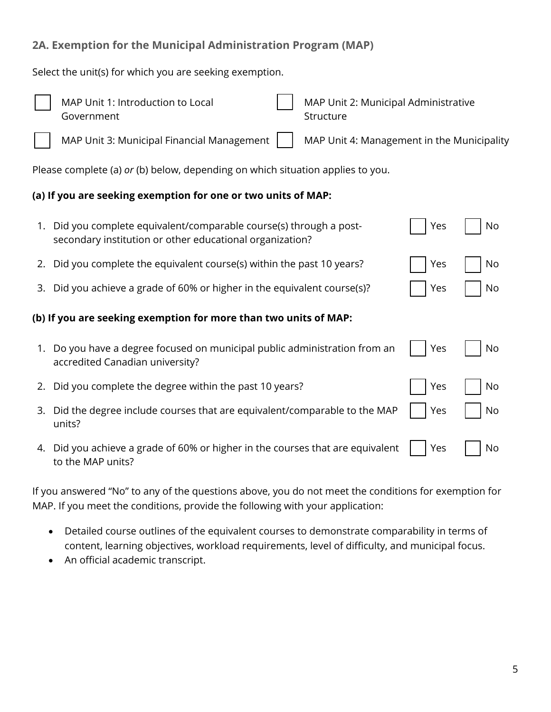### **2A. Exemption for the Municipal Administration Program (MAP)**

Select the unit(s) for which you are seeking exemption.

| MAP Unit 1: Introduction to Local<br>Government | MAP Unit 2: Municipal Administrative<br>Structure |
|-------------------------------------------------|---------------------------------------------------|
| MAP Unit 3: Municipal Financial Management      | MAP Unit 4: Management in the Municipality        |

Please complete (a) *or* (b) below, depending on which situation applies to you.

#### **(a) If you are seeking exemption for one or two units of MAP:**

| 1.                                                               | Did you complete equivalent/comparable course(s) through a post-<br>secondary institution or other educational organization? | Yes | No  |  |
|------------------------------------------------------------------|------------------------------------------------------------------------------------------------------------------------------|-----|-----|--|
| 2.                                                               | Did you complete the equivalent course(s) within the past 10 years?                                                          | Yes | No  |  |
| 3.                                                               | Did you achieve a grade of 60% or higher in the equivalent course(s)?                                                        | Yes | No. |  |
| (b) If you are seeking exemption for more than two units of MAP: |                                                                                                                              |     |     |  |
| 1.                                                               | Do you have a degree focused on municipal public administration from an<br>accredited Canadian university?                   | Yes | No  |  |
| 2.                                                               | Did you complete the degree within the past 10 years?                                                                        | Yes | No. |  |
| 3.                                                               | Did the degree include courses that are equivalent/comparable to the MAP<br>units?                                           | Yes | No  |  |
| 4.                                                               | Did you achieve a grade of 60% or higher in the courses that are equivalent<br>to the MAP units?                             | Yes | No. |  |

If you answered "No" to any of the questions above, you do not meet the conditions for exemption for MAP. If you meet the conditions, provide the following with your application:

- Detailed course outlines of the equivalent courses to demonstrate comparability in terms of content, learning objectives, workload requirements, level of difficulty, and municipal focus.
- An official academic transcript.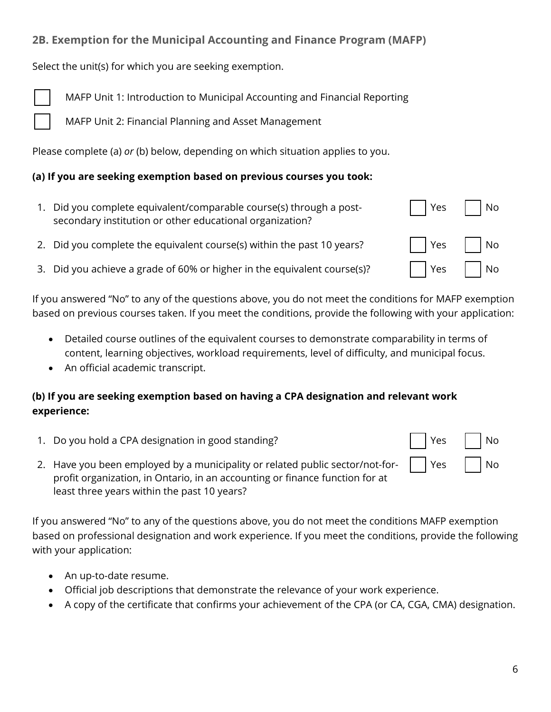### <span id="page-5-0"></span>**2B. Exemption for the Municipal Accounting and Finance Program (MAFP)**

Select the unit(s) for which you are seeking exemption.



MAFP Unit 1: Introduction to Municipal Accounting and Financial Reporting

MAFP Unit 2: Financial Planning and Asset Management

Please complete (a) *or* (b) below, depending on which situation applies to you.

#### **(a) If you are seeking exemption based on previous courses you took:**

| 1. Did you complete equivalent/comparable course(s) through a post-<br>secondary institution or other educational organization? | Yes     No |  |
|---------------------------------------------------------------------------------------------------------------------------------|------------|--|
| 2. Did you complete the equivalent course(s) within the past 10 years?                                                          | Yes     No |  |

3. Did you achieve a grade of 60% or higher in the equivalent course(s)?  $\vert \vert$  Yes  $\vert \vert$  No

If you answered "No" to any of the questions above, you do not meet the conditions for MAFP exemption based on previous courses taken. If you meet the conditions, provide the following with your application:

- Detailed course outlines of the equivalent courses to demonstrate comparability in terms of content, learning objectives, workload requirements, level of difficulty, and municipal focus.
- An official academic transcript.

#### **(b) If you are seeking exemption based on having a CPA designation and relevant work experience:**

1. Do you hold a CPA designation in good standing? ☐ Yes ☐ No

| 2. Have you been employed by a municipality or related public sector/not-for- |
|-------------------------------------------------------------------------------|
| profit organization, in Ontario, in an accounting or finance function for at  |
| least three years within the past 10 years?                                   |

If you answered "No" to any of the questions above, you do not meet the conditions MAFP exemption based on professional designation and work experience. If you meet the conditions, provide the following with your application:

- An up-to-date resume.
- Official job descriptions that demonstrate the relevance of your work experience.
- <span id="page-5-1"></span>• A copy of the certificate that confirms your achievement of the CPA (or CA, CGA, CMA) designation.

Yes ㅣ ㅣ No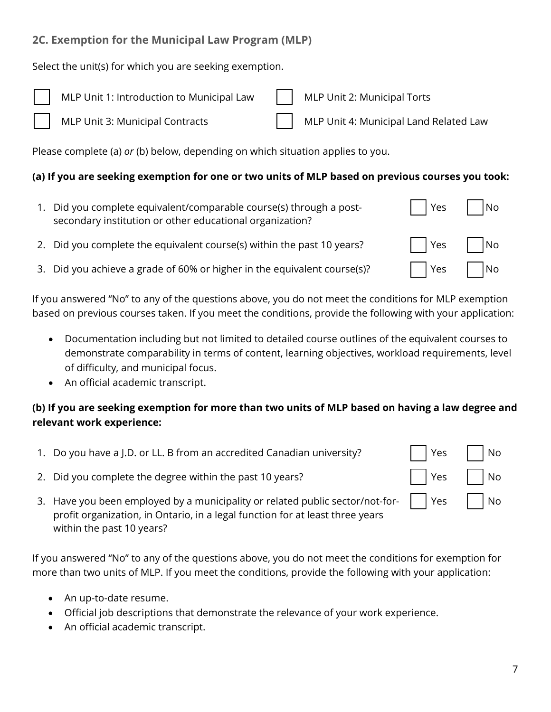### **2C. Exemption for the Municipal Law Program (MLP)**

Select the unit(s) for which you are seeking exemption.

| MLP Unit 1: Introduction to Municipal Law | MLP Unit 2: Municipal Torts            |
|-------------------------------------------|----------------------------------------|
| MLP Unit 3: Municipal Contracts           | MLP Unit 4: Municipal Land Related Law |

Please complete (a) *or* (b) below, depending on which situation applies to you.

#### **(a) If you are seeking exemption for one or two units of MLP based on previous courses you took:**

| Did you complete equivalent/comparable course(s) through a post-<br>secondary institution or other educational organization? | <b>Yes</b>     | No          |
|------------------------------------------------------------------------------------------------------------------------------|----------------|-------------|
| 2. Did you complete the equivalent course(s) within the past 10 years?                                                       | $ $ Yes $ $ No |             |
| 3. Did you achieve a grade of 60% or higher in the equivalent course(s)?                                                     | <b>Yes</b>     | $\bigwedge$ |

If you answered "No" to any of the questions above, you do not meet the conditions for MLP exemption based on previous courses taken. If you meet the conditions, provide the following with your application:

- Documentation including but not limited to detailed course outlines of the equivalent courses to demonstrate comparability in terms of content, learning objectives, workload requirements, level of difficulty, and municipal focus.
- An official academic transcript.

#### **(b) If you are seeking exemption for more than two units of MLP based on having a law degree and relevant work experience:**

- 1. Do you have a J.D. or LL. B from an accredited Canadian university? ☐ Yes ☐ No 2. Did you complete the degree within the past 10 years? | Yes | | No 3. Have you been employed by a municipality or related public sector/not-for-Yes I I No
- profit organization, in Ontario, in a legal function for at least three years within the past 10 years?

If you answered "No" to any of the questions above, you do not meet the conditions for exemption for more than two units of MLP. If you meet the conditions, provide the following with your application:

- An up-to-date resume.
- Official job descriptions that demonstrate the relevance of your work experience.
- <span id="page-6-0"></span>• An official academic transcript.